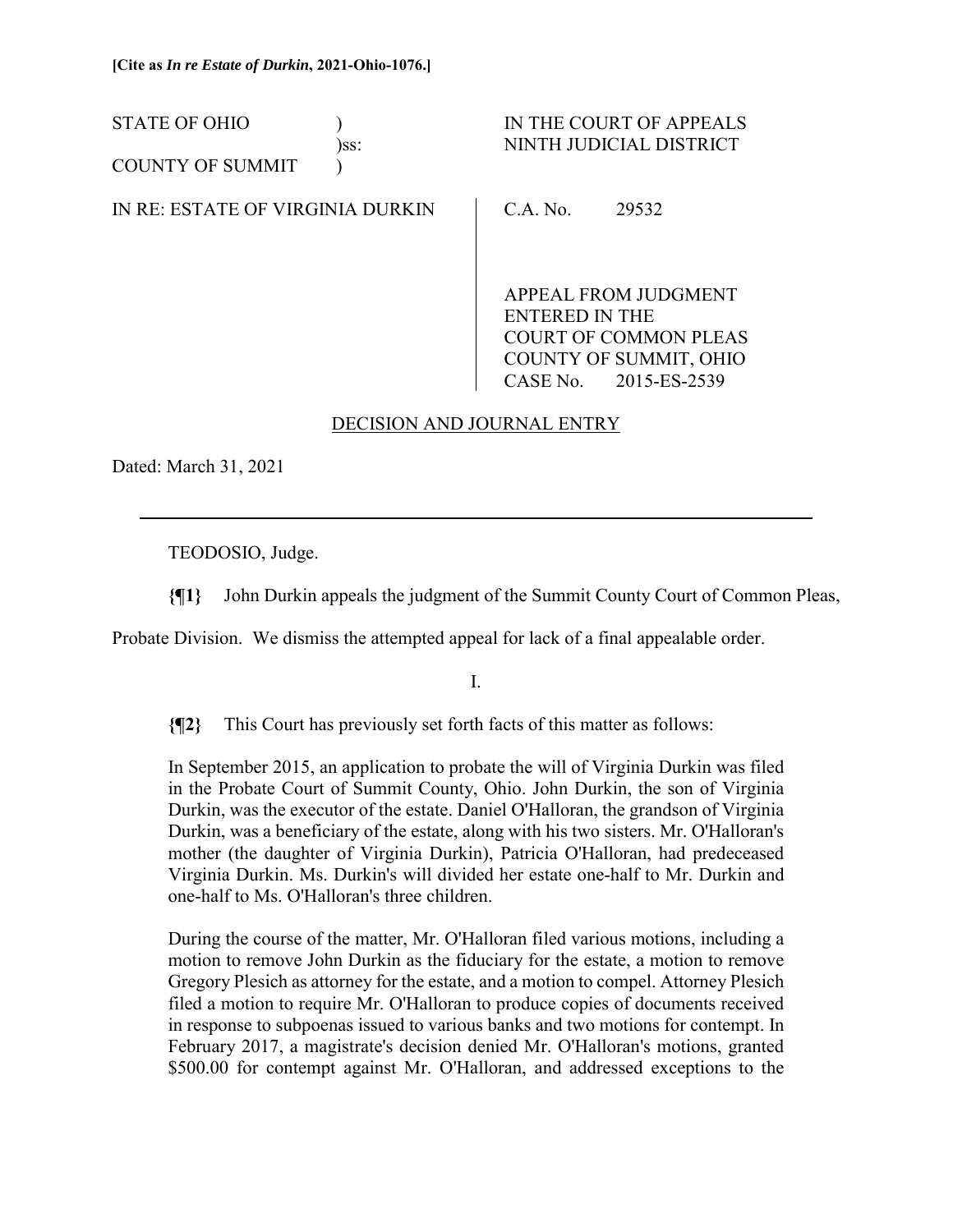STATE OF OHIO  $\qquad$  ) IN THE COURT OF APPEALS )ss: NINTH JUDICIAL DISTRICT COUNTY OF SUMMIT (1) IN RE: ESTATE OF VIRGINIA DURKIN C.A. No. 29532

> APPEAL FROM JUDGMENT ENTERED IN THE COURT OF COMMON PLEAS COUNTY OF SUMMIT, OHIO CASE No. 2015-ES-2539

# DECISION AND JOURNAL ENTRY

Dated: March 31, 2021

 $\overline{a}$ 

TEODOSIO, Judge.

**{¶1}** John Durkin appeals the judgment of the Summit County Court of Common Pleas,

Probate Division. We dismiss the attempted appeal for lack of a final appealable order.

I.

**{¶2}** This Court has previously set forth facts of this matter as follows:

In September 2015, an application to probate the will of Virginia Durkin was filed in the Probate Court of Summit County, Ohio. John Durkin, the son of Virginia Durkin, was the executor of the estate. Daniel O'Halloran, the grandson of Virginia Durkin, was a beneficiary of the estate, along with his two sisters. Mr. O'Halloran's mother (the daughter of Virginia Durkin), Patricia O'Halloran, had predeceased Virginia Durkin. Ms. Durkin's will divided her estate one-half to Mr. Durkin and one-half to Ms. O'Halloran's three children.

During the course of the matter, Mr. O'Halloran filed various motions, including a motion to remove John Durkin as the fiduciary for the estate, a motion to remove Gregory Plesich as attorney for the estate, and a motion to compel. Attorney Plesich filed a motion to require Mr. O'Halloran to produce copies of documents received in response to subpoenas issued to various banks and two motions for contempt. In February 2017, a magistrate's decision denied Mr. O'Halloran's motions, granted \$500.00 for contempt against Mr. O'Halloran, and addressed exceptions to the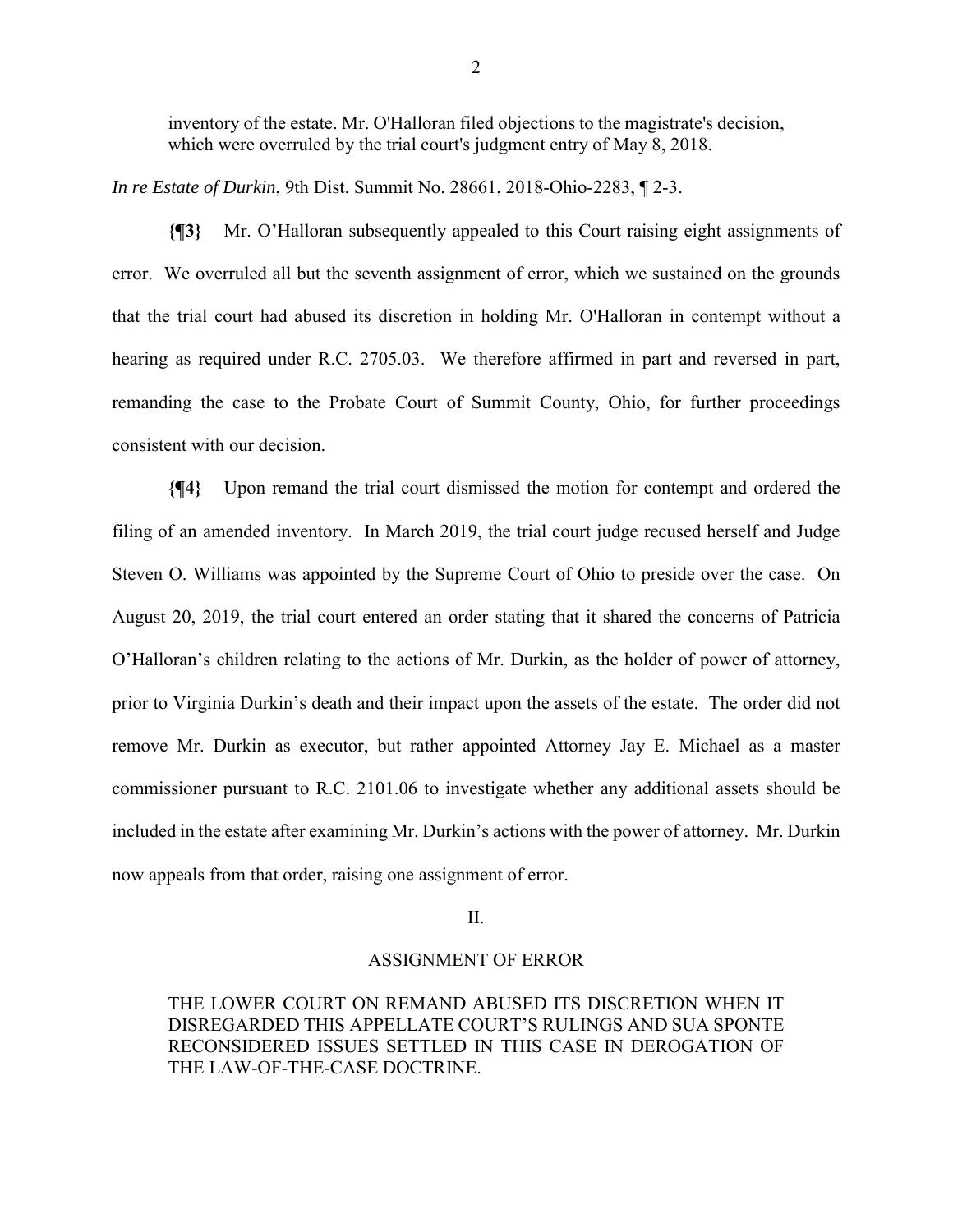inventory of the estate. Mr. O'Halloran filed objections to the magistrate's decision, which were overruled by the trial court's judgment entry of May 8, 2018.

*In re Estate of Durkin*, 9th Dist. Summit No. 28661, 2018-Ohio-2283, ¶ 2-3.

**{¶3}** Mr. O'Halloran subsequently appealed to this Court raising eight assignments of error. We overruled all but the seventh assignment of error, which we sustained on the grounds that the trial court had abused its discretion in holding Mr. O'Halloran in contempt without a hearing as required under R.C. 2705.03. We therefore affirmed in part and reversed in part, remanding the case to the Probate Court of Summit County, Ohio, for further proceedings consistent with our decision.

**{¶4}** Upon remand the trial court dismissed the motion for contempt and ordered the filing of an amended inventory. In March 2019, the trial court judge recused herself and Judge Steven O. Williams was appointed by the Supreme Court of Ohio to preside over the case. On August 20, 2019, the trial court entered an order stating that it shared the concerns of Patricia O'Halloran's children relating to the actions of Mr. Durkin, as the holder of power of attorney, prior to Virginia Durkin's death and their impact upon the assets of the estate. The order did not remove Mr. Durkin as executor, but rather appointed Attorney Jay E. Michael as a master commissioner pursuant to R.C. 2101.06 to investigate whether any additional assets should be included in the estate after examining Mr. Durkin's actions with the power of attorney. Mr. Durkin now appeals from that order, raising one assignment of error.

### II.

#### ASSIGNMENT OF ERROR

THE LOWER COURT ON REMAND ABUSED ITS DISCRETION WHEN IT DISREGARDED THIS APPELLATE COURT'S RULINGS AND SUA SPONTE RECONSIDERED ISSUES SETTLED IN THIS CASE IN DEROGATION OF THE LAW-OF-THE-CASE DOCTRINE.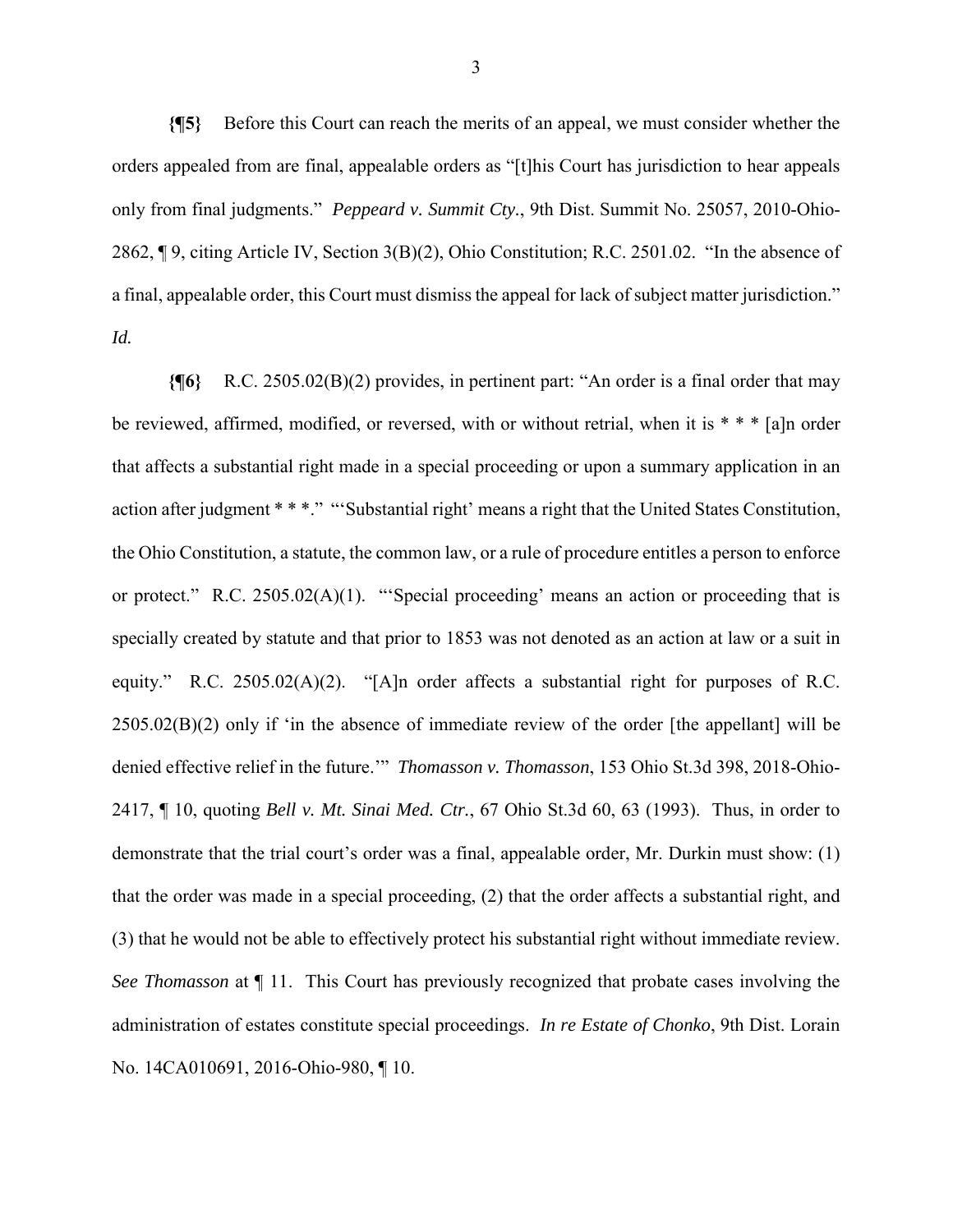**{¶5}** Before this Court can reach the merits of an appeal, we must consider whether the orders appealed from are final, appealable orders as "[t]his Court has jurisdiction to hear appeals only from final judgments." *Peppeard v. Summit Cty.*, 9th Dist. Summit No. 25057, 2010-Ohio-2862, ¶ 9, citing Article IV, Section 3(B)(2), Ohio Constitution; R.C. 2501.02. "In the absence of a final, appealable order, this Court must dismiss the appeal for lack of subject matter jurisdiction." *Id.*

**{¶6}** R.C. 2505.02(B)(2) provides, in pertinent part: "An order is a final order that may be reviewed, affirmed, modified, or reversed, with or without retrial, when it is \* \* \* [a]n order that affects a substantial right made in a special proceeding or upon a summary application in an action after judgment \* \* \*." "'Substantial right' means a right that the United States Constitution, the Ohio Constitution, a statute, the common law, or a rule of procedure entitles a person to enforce or protect." R.C. 2505.02(A)(1). "'Special proceeding' means an action or proceeding that is specially created by statute and that prior to 1853 was not denoted as an action at law or a suit in equity." R.C. 2505.02(A)(2). "[A]n order affects a substantial right for purposes of R.C. 2505.02(B)(2) only if 'in the absence of immediate review of the order [the appellant] will be denied effective relief in the future.'" *Thomasson v. Thomasson*, 153 Ohio St.3d 398, 2018-Ohio-2417, ¶ 10, quoting *Bell v. Mt. Sinai Med. Ctr.*, 67 Ohio St.3d 60, 63 (1993). Thus, in order to demonstrate that the trial court's order was a final, appealable order, Mr. Durkin must show: (1) that the order was made in a special proceeding, (2) that the order affects a substantial right, and (3) that he would not be able to effectively protect his substantial right without immediate review. *See Thomasson* at ¶ 11. This Court has previously recognized that probate cases involving the administration of estates constitute special proceedings. *In re Estate of Chonko*, 9th Dist. Lorain No. 14CA010691, 2016-Ohio-980, ¶ 10.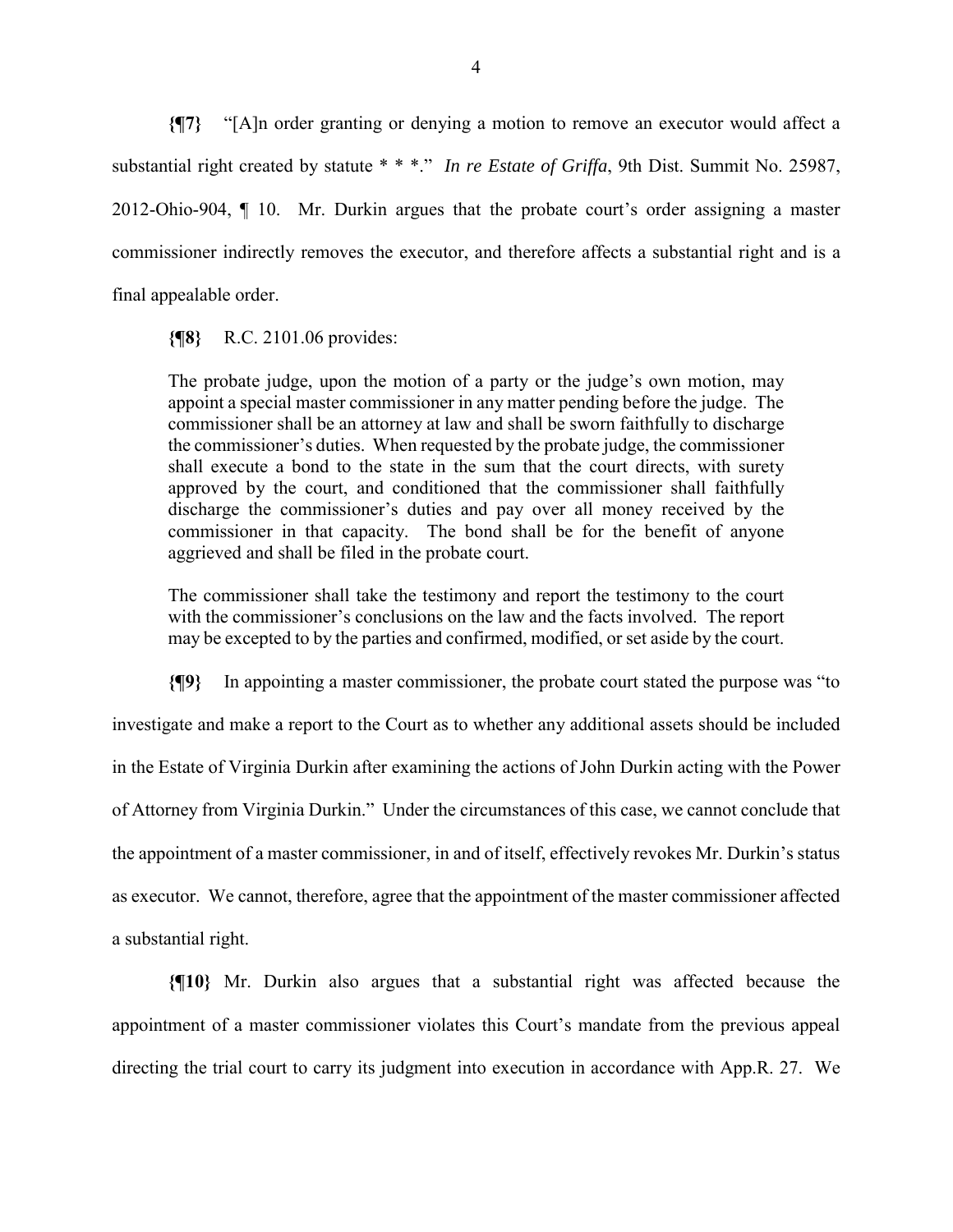**{¶7}** "[A]n order granting or denying a motion to remove an executor would affect a substantial right created by statute \* \* \*." *In re Estate of Griffa*, 9th Dist. Summit No. 25987, 2012-Ohio-904, ¶ 10. Mr. Durkin argues that the probate court's order assigning a master commissioner indirectly removes the executor, and therefore affects a substantial right and is a final appealable order.

#### **{¶8}** R.C. 2101.06 provides:

The probate judge, upon the motion of a party or the judge's own motion, may appoint a special master commissioner in any matter pending before the judge. The commissioner shall be an attorney at law and shall be sworn faithfully to discharge the commissioner's duties. When requested by the probate judge, the commissioner shall execute a bond to the state in the sum that the court directs, with surety approved by the court, and conditioned that the commissioner shall faithfully discharge the commissioner's duties and pay over all money received by the commissioner in that capacity. The bond shall be for the benefit of anyone aggrieved and shall be filed in the probate court.

The commissioner shall take the testimony and report the testimony to the court with the commissioner's conclusions on the law and the facts involved. The report may be excepted to by the parties and confirmed, modified, or set aside by the court.

**{¶9}** In appointing a master commissioner, the probate court stated the purpose was "to

investigate and make a report to the Court as to whether any additional assets should be included in the Estate of Virginia Durkin after examining the actions of John Durkin acting with the Power of Attorney from Virginia Durkin." Under the circumstances of this case, we cannot conclude that the appointment of a master commissioner, in and of itself, effectively revokes Mr. Durkin's status as executor. We cannot, therefore, agree that the appointment of the master commissioner affected a substantial right.

**{¶10}** Mr. Durkin also argues that a substantial right was affected because the appointment of a master commissioner violates this Court's mandate from the previous appeal directing the trial court to carry its judgment into execution in accordance with App.R. 27. We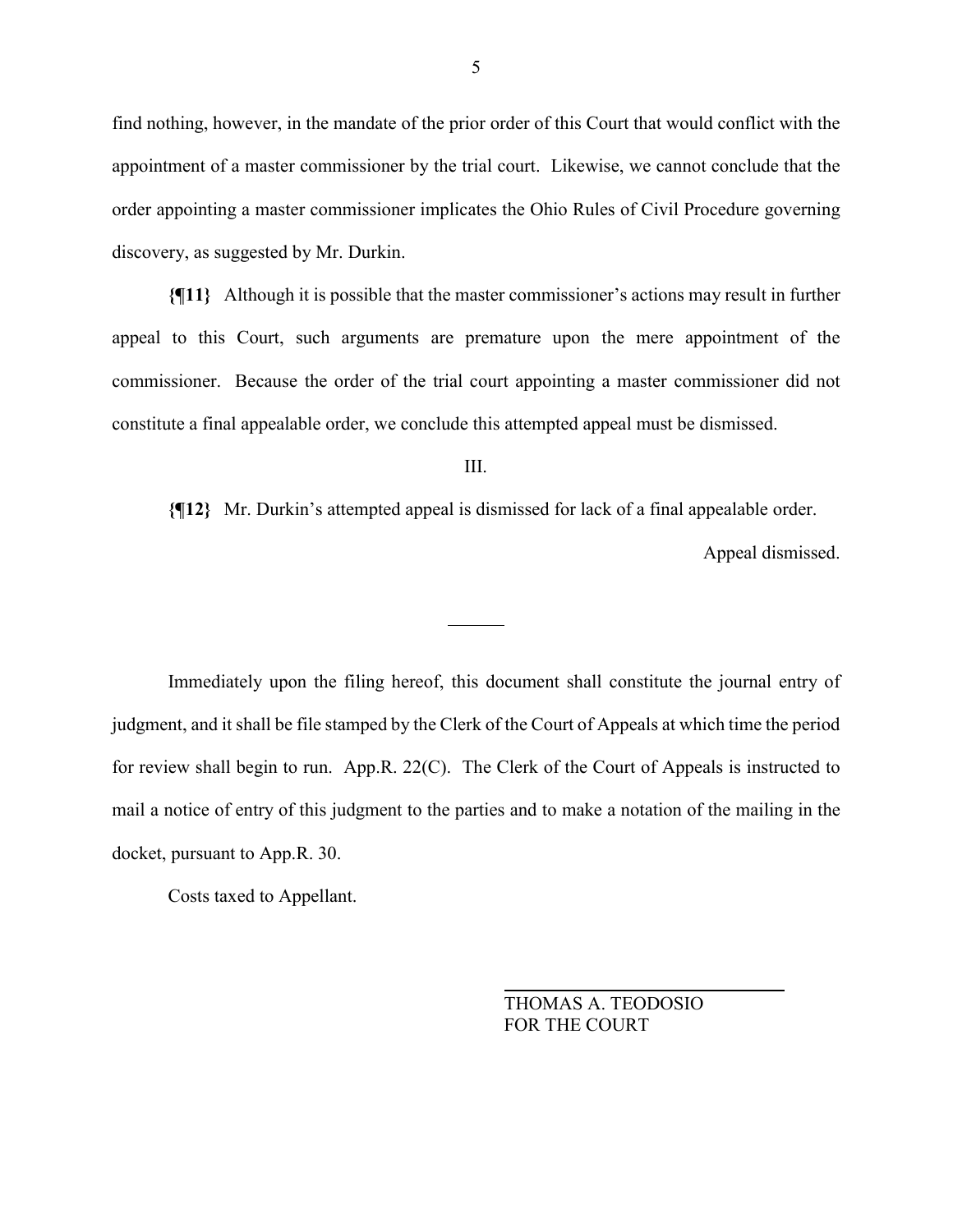find nothing, however, in the mandate of the prior order of this Court that would conflict with the appointment of a master commissioner by the trial court. Likewise, we cannot conclude that the order appointing a master commissioner implicates the Ohio Rules of Civil Procedure governing discovery, as suggested by Mr. Durkin.

**{¶11}** Although it is possible that the master commissioner's actions may result in further appeal to this Court, such arguments are premature upon the mere appointment of the commissioner. Because the order of the trial court appointing a master commissioner did not constitute a final appealable order, we conclude this attempted appeal must be dismissed.

III.

 $\overline{a}$ 

**{¶12}** Mr. Durkin's attempted appeal is dismissed for lack of a final appealable order.

Appeal dismissed.

 Immediately upon the filing hereof, this document shall constitute the journal entry of judgment, and it shall be file stamped by the Clerk of the Court of Appeals at which time the period for review shall begin to run. App.R. 22(C). The Clerk of the Court of Appeals is instructed to mail a notice of entry of this judgment to the parties and to make a notation of the mailing in the docket, pursuant to App.R. 30.

Costs taxed to Appellant.

 THOMAS A. TEODOSIO FOR THE COURT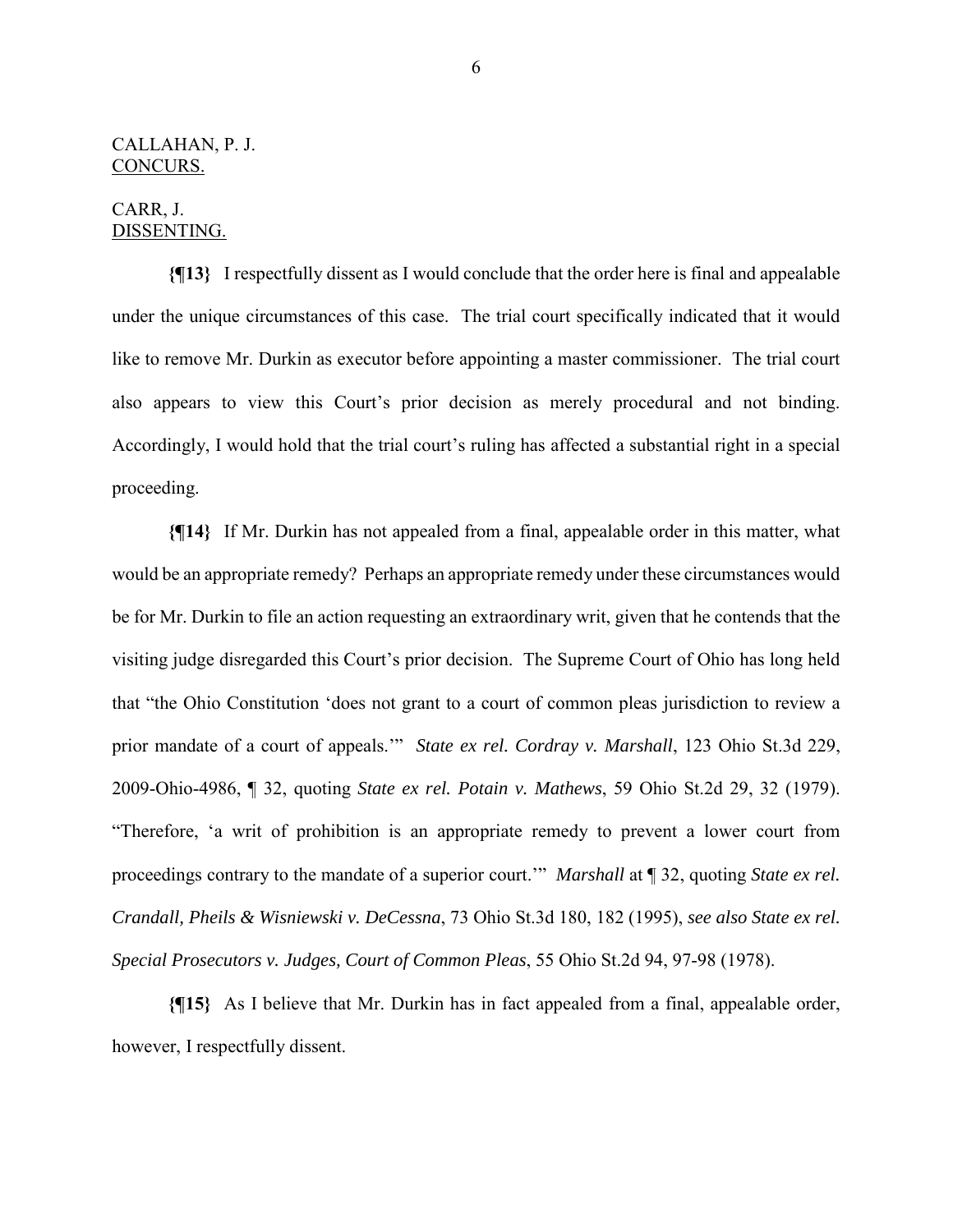## CALLAHAN, P. J. CONCURS.

# CARR, J. DISSENTING.

**{¶13}** I respectfully dissent as I would conclude that the order here is final and appealable under the unique circumstances of this case. The trial court specifically indicated that it would like to remove Mr. Durkin as executor before appointing a master commissioner. The trial court also appears to view this Court's prior decision as merely procedural and not binding. Accordingly, I would hold that the trial court's ruling has affected a substantial right in a special proceeding.

**{¶14}** If Mr. Durkin has not appealed from a final, appealable order in this matter, what would be an appropriate remedy? Perhaps an appropriate remedy under these circumstances would be for Mr. Durkin to file an action requesting an extraordinary writ, given that he contends that the visiting judge disregarded this Court's prior decision. The Supreme Court of Ohio has long held that "the Ohio Constitution 'does not grant to a court of common pleas jurisdiction to review a prior mandate of a court of appeals.'" *State ex rel. Cordray v. Marshall*, 123 Ohio St.3d 229, 2009-Ohio-4986, ¶ 32, quoting *State ex rel. Potain v. Mathews*, 59 Ohio St.2d 29, 32 (1979). "Therefore, 'a writ of prohibition is an appropriate remedy to prevent a lower court from proceedings contrary to the mandate of a superior court.'" *Marshall* at ¶ 32, quoting *State ex rel. Crandall, Pheils & Wisniewski v. DeCessna*, 73 Ohio St.3d 180, 182 (1995), *see also State ex rel. Special Prosecutors v. Judges, Court of Common Pleas*, 55 Ohio St.2d 94, 97-98 (1978).

**{¶15}** As I believe that Mr. Durkin has in fact appealed from a final, appealable order, however, I respectfully dissent.